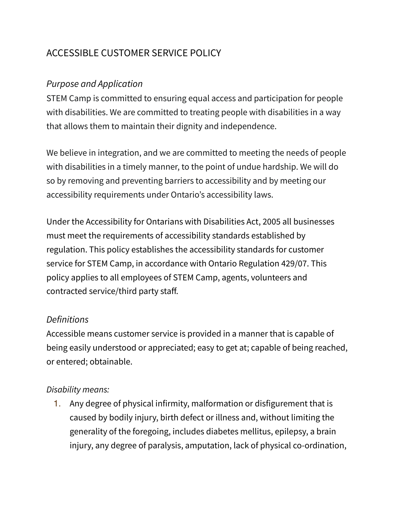# ACCESSIBLE CUSTOMER SERVICE POLICY

## *Purpose and Application*

STEM Camp is committed to ensuring equal access and participation for people with disabilities. We are committed to treating people with disabilities in a way that allows them to maintain their dignity and independence.

We believe in integration, and we are committed to meeting the needs of people with disabilities in a timely manner, to the point of undue hardship. We will do so by removing and preventing barriers to accessibility and by meeting our accessibility requirements under Ontario's accessibility laws.

Under the Accessibility for Ontarians with Disabilities Act, 2005 all businesses must meet the requirements of accessibility standards established by regulation. This policy establishes the accessibility standards for customer service for STEM Camp, in accordance with Ontario Regulation 429/07. This policy applies to all employees of STEM Camp, agents, volunteers and contracted service/third party staff.

## *Definitions*

Accessible means customer service is provided in a manner that is capable of being easily understood or appreciated; easy to get at; capable of being reached, or entered; obtainable.

## *Disability means:*

1. Any degree of physical infirmity, malformation or disfigurement that is caused by bodily injury, birth defect or illness and, without limiting the generality of the foregoing, includes diabetes mellitus, epilepsy, a brain injury, any degree of paralysis, amputation, lack of physical co-ordination,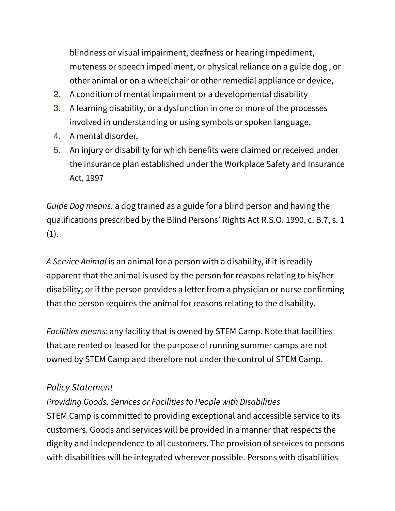blindness or visual impairment, deafness or hearing impediment, muteness or speech impediment, or physical reliance on a guide dog , or other animal or on a wheelchair or other remedial appliance or device,

- 2. A condition of mental impairment or a developmental disability
- 3. A learning disability, or a dysfunction in one or more of the processes involved in understanding or using symbols or spoken language,
- 4. A mental disorder,
- 5. An injury or disability for which benefits were claimed or received under the insurance plan established under the Workplace Safety and Insurance Act, 1997

*Guide Dog means:* a dog trained as a guide for a blind person and having the qualifications prescribed by the Blind Persons' Rights Act R.S.O. 1990, c. B.7, s. 1  $(1).$ 

*A Service Animal* is an animal for a person with a disability, if it is readily apparent that the animal is used by the person for reasons relating to his/her disability; or if the person provides a letter from a physician or nurse confirming that the person requires the animal for reasons relating to the disability.

*Facilities means:* any facility that is owned by STEM Camp. Note that facilities that are rented or leased for the purpose of running summer camps are not owned by STEM Camp and therefore not under the control of STEM Camp.

## *Policy Statement*

## *Providing Goods, Services or Facilities to People with Disabilities*

STEM Camp is committed to providing exceptional and accessible service to its customers. Goods and services will be provided in a manner that respects the dignity and independence to all customers. The provision of services to persons with disabilities will be integrated wherever possible. Persons with disabilities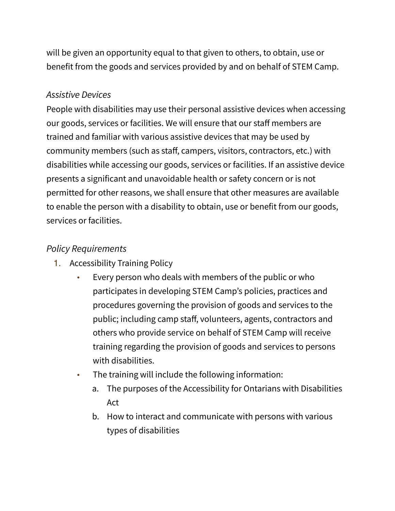will be given an opportunity equal to that given to others, to obtain, use or benefit from the goods and services provided by and on behalf of STEM Camp.

#### *Assistive Devices*

People with disabilities may use their personal assistive devices when accessing our goods, services or facilities. We will ensure that our staff members are trained and familiar with various assistive devices that may be used by community members (such as staff, campers, visitors, contractors, etc.) with disabilities while accessing our goods, services or facilities. If an assistive device presents a significant and unavoidable health or safety concern or is not permitted for other reasons, we shall ensure that other measures are available to enable the person with a disability to obtain, use or benefit from our goods, services or facilities.

#### *Policy Requirements*

- 1. Accessibility Training Policy
	- Every person who deals with members of the public or who participates in developing STEM Camp's policies, practices and procedures governing the provision of goods and services to the public; including camp staff, volunteers, agents, contractors and others who provide service on behalf of STEM Camp will receive training regarding the provision of goods and services to persons with disabilities.
	- The training will include the following information:
		- a. The purposes of the Accessibility for Ontarians with Disabilities Act
		- b. How to interact and communicate with persons with various types of disabilities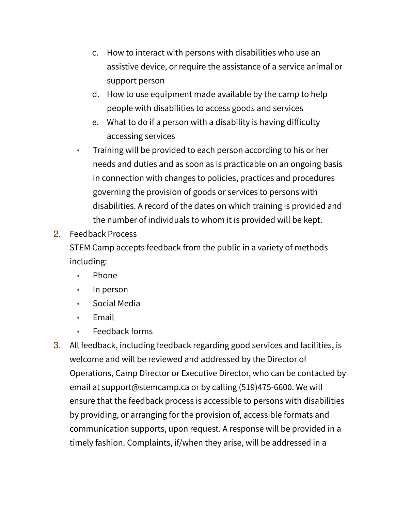- c. How to interact with persons with disabilities who use an assistive device, or require the assistance of a service animal or support person
- d. How to use equipment made available by the camp to help people with disabilities to access goods and services
- e. What to do if a person with a disability is having difficulty accessing services
- Training will be provided to each person according to his or her needs and duties and as soon as is practicable on an ongoing basis in connection with changes to policies, practices and procedures governing the provision of goods or services to persons with disabilities. A record of the dates on which training is provided and the number of individuals to whom it is provided will be kept.
- 2. Feedback Process

STEM Camp accepts feedback from the public in a variety of methods including:

- Phone
- In person
- Social Media
- Email
- Feedback forms
- 3. All feedback, including feedback regarding good services and facilities, is welcome and will be reviewed and addressed by the Director of Operations, Camp Director or Executive Director, who can be contacted by email at support@stemcamp.ca or by calling [\(519\)475-6600.](tel:(519)475-6600) We will ensure that the feedback process is accessible to persons with disabilities by providing, or arranging for the provision of, accessible formats and communication supports, upon request. A response will be provided in a timely fashion. Complaints, if/when they arise, will be addressed in a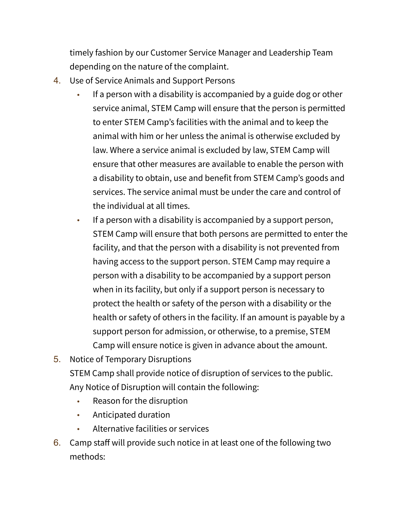timely fashion by our Customer Service Manager and Leadership Team depending on the nature of the complaint.

- 4. Use of Service Animals and Support Persons
	- If a person with a disability is accompanied by a guide dog or other service animal, STEM Camp will ensure that the person is permitted to enter STEM Camp's facilities with the animal and to keep the animal with him or her unless the animal is otherwise excluded by law. Where a service animal is excluded by law, STEM Camp will ensure that other measures are available to enable the person with a disability to obtain, use and benefit from STEM Camp's goods and services. The service animal must be under the care and control of the individual at all times.
	- If a person with a disability is accompanied by a support person, STEM Camp will ensure that both persons are permitted to enter the facility, and that the person with a disability is not prevented from having access to the support person. STEM Camp may require a person with a disability to be accompanied by a support person when in its facility, but only if a support person is necessary to protect the health or safety of the person with a disability or the health or safety of others in the facility. If an amount is payable by a support person for admission, or otherwise, to a premise, STEM Camp will ensure notice is given in advance about the amount.
- 5. Notice of Temporary Disruptions STEM Camp shall provide notice of disruption of services to the public. Any Notice of Disruption will contain the following:
	- Reason for the disruption
	- Anticipated duration
	- Alternative facilities or services
- 6. Camp staff will provide such notice in at least one of the following two methods: